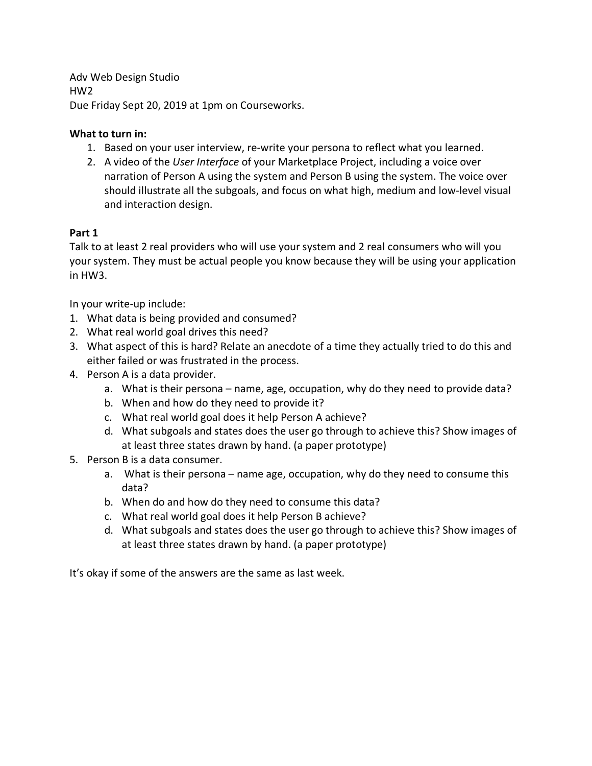Adv Web Design Studio HW2 Due Friday Sept 20, 2019 at 1pm on Courseworks.

## **What to turn in:**

- 1. Based on your user interview, re-write your persona to reflect what you learned.
- 2. A video of the *User Interface* of your Marketplace Project, including a voice over narration of Person A using the system and Person B using the system. The voice over should illustrate all the subgoals, and focus on what high, medium and low-level visual and interaction design.

# **Part 1**

Talk to at least 2 real providers who will use your system and 2 real consumers who will you your system. They must be actual people you know because they will be using your application in HW3.

In your write-up include:

- 1. What data is being provided and consumed?
- 2. What real world goal drives this need?
- 3. What aspect of this is hard? Relate an anecdote of a time they actually tried to do this and either failed or was frustrated in the process.
- 4. Person A is a data provider.
	- a. What is their persona name, age, occupation, why do they need to provide data?
	- b. When and how do they need to provide it?
	- c. What real world goal does it help Person A achieve?
	- d. What subgoals and states does the user go through to achieve this? Show images of at least three states drawn by hand. (a paper prototype)
- 5. Person B is a data consumer.
	- a. What is their persona name age, occupation, why do they need to consume this data?
	- b. When do and how do they need to consume this data?
	- c. What real world goal does it help Person B achieve?
	- d. What subgoals and states does the user go through to achieve this? Show images of at least three states drawn by hand. (a paper prototype)

It's okay if some of the answers are the same as last week.